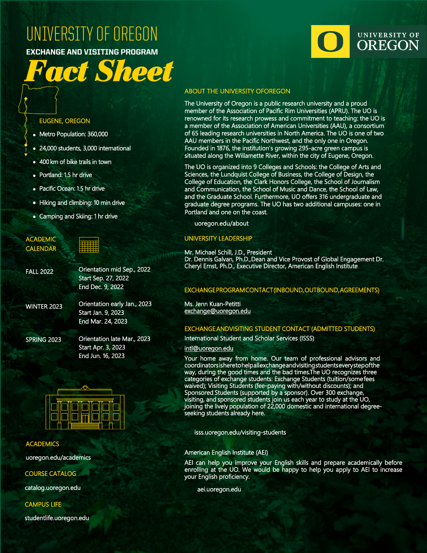## [UNIVERSITY OF OREGON](http://uoregon.edu)

EXCHANGE AND VISITING PROGRAM

# *Fact Sheet*

#### EUGENE, OREGON

- Metro Population: 360,000
- 24,000 students, 3,000 international
- 400 km of bike trails in town
- Portland: 1.5 hr drive
- Pacific Ocean: 1.5 hr drive
- Hiking and climbing: 10 min drive
- Camping and Skiing: 1 hr drive

| <b>ACADEMIC</b><br><b>CALENDAR</b> |                                                                      |
|------------------------------------|----------------------------------------------------------------------|
| <b>FALL 2022</b>                   | Orientation mid Se<br><b>Start Sep. 27, 2022</b><br>End Dec. 9, 2022 |
| <b>WINTER 2023</b>                 | Orientation early Ja<br>Start Jan. 9, 2023<br>End Mar. 24, 2023      |

SPRING 2023

**FA** 

 $W$ 

Orientation late Mar., 2023 Start Apr. 3, 2023 End Jun. 16, 2023

2022

n., 2023



#### **ACADEMICS**

[uoregon.edu/academics](http://www.uoregon.edu/academics)

COURSE CATALOG

[catalog.uoregon.edu](http://catalog.uoregon.edu)

CAMPUS LIFE

[studentlife.uoregon.edu](http://studentlife.uoregon.edu)

### UNIVERSITY OF **OREGON**

#### **ABOUT THE UNIVERSITY OF OREGON**

The University of Oregon is a public research university and a proud member of the Association of Pacific Rim Universities (APRU). The UO is renowned for its research prowess and commitment to teaching: the UO is a member of the Association of American Universities (AAU), a consortium of 65 leading research universities in North America. The UO is one of two AAU members in the Pacific Northwest, and the only one in Oregon. Founded in 1876, the institution's growing 295-acre green campus is situated along the Willamette River, within the city of Eugene, Oregon.

The UO is organized into 9 Colleges and Schools: the College of Arts and Sciences, the Lundquist College of Business, the College of Design, the College of Education, the Clark Honors College, the School of Journalism and Communication, the School of Music and Dance, the School of Law, and the Graduate School. Furthermore, UO offers 316 undergraduate and graduate degree programs. The UO has two additional campuses: one in Portland and one on the coast.

[uoregon.edu/about](http://uoregon.edu/about)

#### UNIVERSITY LEADERSHIP

Mr. Michael Schill, J.D., President Dr. Dennis Galvan, Ph.D., Dean and Vice Provost of Global Engagement Dr. Cheryl Ernst, Ph.D., Executive Director, American English Institute

#### EXCHANGE PROGRAM CONTACT (INBOUND, OUTBOUND, AGREEMENTS)

Ms. Jenn Kuan-Petitti [exchange@uoregon.edu](mailto:exchange@uoregon.edu)

#### EXCHANGE ANDVISITING STUDENT CONTACT (ADMITTED STUDENTS)

International Student and Scholar Services (ISSS)

#### intl@uoregon.edu

[Your home away f](mailto:intl@uoregon.edu)rom home. Our team of professional advisors and coordinators is here to help all exchange and visiting students every step of the way, during the good times and the bad times. The UO recognizes three categories of exchange students: Exchange Students (tuition/some fees waived); Visiting Students (fee-paying with/without discounts); and Sponsored Students (supported by a sponsor). Over 300 exchange, visiting, and sponsored students join us each year to study at the UO, joining the lively population of 22,000 domestic and international degreeseeking students already here.

[isss.uoregon.edu/visiting-students](https://isss.uoregon.edu/exchange-visiting-students)

#### American English Institute (AEI)

AEI can help you improve your English skills and prepare academically before enrolling at the UO. We would be happy to help you apply to AEI to increase your English proficiency.

[aei.uoregon.edu](http://aei.uoregon.edu)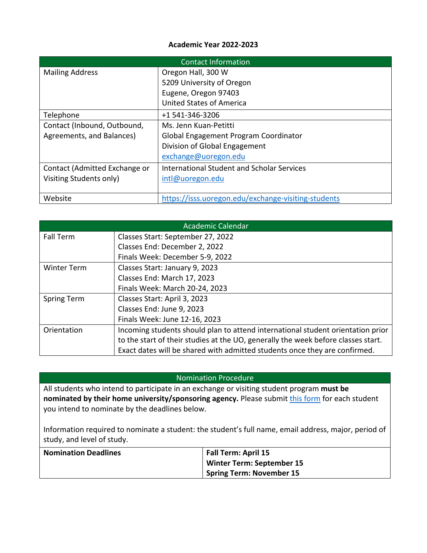#### **Academic Year 2022-2023**

| Contact Information           |                                                     |  |
|-------------------------------|-----------------------------------------------------|--|
| <b>Mailing Address</b>        | Oregon Hall, 300 W                                  |  |
|                               | 5209 University of Oregon                           |  |
|                               | Eugene, Oregon 97403                                |  |
|                               | <b>United States of America</b>                     |  |
| Telephone                     | +1 541-346-3206                                     |  |
| Contact (Inbound, Outbound,   | Ms. Jenn Kuan-Petitti                               |  |
| Agreements, and Balances)     | Global Engagement Program Coordinator               |  |
|                               | Division of Global Engagement                       |  |
|                               | exchange@uoregon.edu                                |  |
| Contact (Admitted Exchange or | International Student and Scholar Services          |  |
| Visiting Students only)       | intl@uoregon.edu                                    |  |
|                               |                                                     |  |
| Website                       | https://isss.uoregon.edu/exchange-visiting-students |  |

|                    | Academic Calendar                                                                 |
|--------------------|-----------------------------------------------------------------------------------|
| <b>Fall Term</b>   | Classes Start: September 27, 2022                                                 |
|                    | Classes End: December 2, 2022                                                     |
|                    | Finals Week: December 5-9, 2022                                                   |
| <b>Winter Term</b> | Classes Start: January 9, 2023                                                    |
|                    | Classes End: March 17, 2023                                                       |
|                    | Finals Week: March 20-24, 2023                                                    |
| <b>Spring Term</b> | Classes Start: April 3, 2023                                                      |
|                    | Classes End: June 9, 2023                                                         |
|                    | Finals Week: June 12-16, 2023                                                     |
| Orientation        | Incoming students should plan to attend international student orientation prior   |
|                    | to the start of their studies at the UO, generally the week before classes start. |
|                    | Exact dates will be shared with admitted students once they are confirmed.        |

#### Nomination Procedure

All students who intend to participate in an exchange or visiting student program **must be nominated by their home university/sponsoring agency.** Please submit *this form* for each student you intend to nominate by the deadlines below.

Information required to nominate a student: the student's full name, email address, major, period of study, and level of study.

| <b>Nomination Deadlines</b> | Fall Term: April 15             |  |
|-----------------------------|---------------------------------|--|
|                             | Winter Term: September 15       |  |
|                             | <b>Spring Term: November 15</b> |  |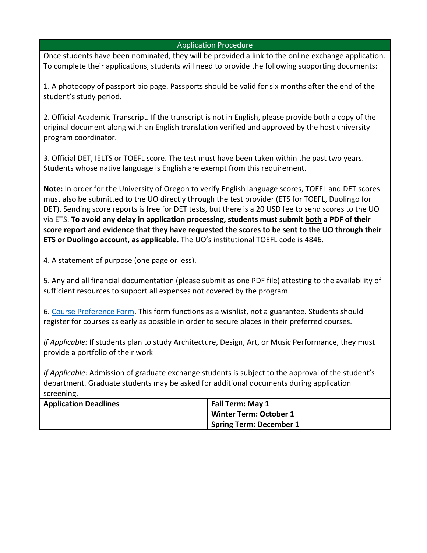#### Application Procedure

Once students have been nominated, they will be provided a link to the online exchange application. To complete their applications, students will need to provide the following supporting documents:

1. A photocopy of passport bio page. Passports should be valid for six months after the end of the student's study period.

2. Official Academic Transcript. If the transcript is not in English, please provide both a copy of the original document along with an English translation verified and approved by the host university program coordinator.

3. Official DET, IELTS or TOEFL score. The test must have been taken within the past two years. Students whose native language is English are exempt from this requirement.

**Note:** In order for the University of Oregon to verify English language scores, TOEFL and DET scores must also be submitted to the UO directly through the test provider (ETS for TOEFL, Duolingo for DET). Sending score reports is free for DET tests, but there is a 20 USD fee to send scores to the UO via ETS. **To avoid any delay in application processing, students must submit both a PDF of their score report and evidence that they have requested the scores to be sent to the UO through their ETS or Duolingo account, as applicable.** The UO's institutional TOEFL code is 4846.

4. A statement of purpose (one page or less).

5. Any and all financial documentation (please submit as one PDF file) attesting to the availability of sufficient resources to support all expenses not covered by the program.

6. [Course Preference Form.](https://uoregon-my.sharepoint.com/:b:/g/personal/jennk_uoregon_edu/EakWLn7z5TlMiGlfI9XrrM4BFvmTzFxZVlQiiD-FmDL44Q?e=IOVUB7) This form functions as a wishlist, not a guarantee. Students should register for courses as early as possible in order to secure places in their preferred courses.

*If Applicable:* If students plan to study Architecture, Design, Art, or Music Performance, they must provide a portfolio of their work

*If Applicable:* Admission of graduate exchange students is subject to the approval of the student's department. Graduate students may be asked for additional documents during application screening.

| <b>Application Deadlines</b> | Fall Term: May 1              |  |
|------------------------------|-------------------------------|--|
|                              | <b>Winter Term: October 1</b> |  |
|                              | Spring Term: December 1       |  |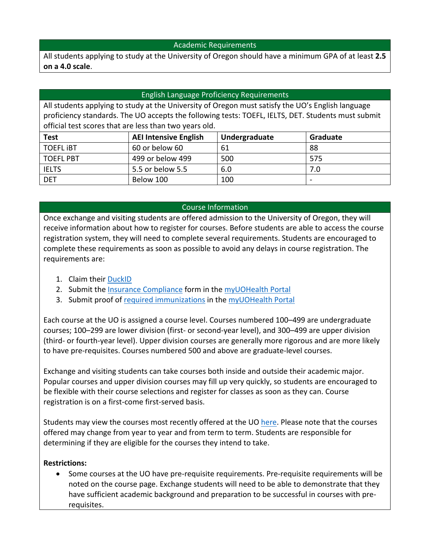#### Academic Requirements

All students applying to study at the University of Oregon should have a minimum GPA of at least **2.5 on a 4.0 scale**.

#### English Language Proficiency Requirements

All students applying to study at the University of Oregon must satisfy the UO's English language proficiency standards. The UO accepts the following tests: TOEFL, IELTS, DET. Students must submit official test scores that are less than two years old.

| <b>Test</b>      | <b>AEI Intensive English</b> | Undergraduate | Graduate |
|------------------|------------------------------|---------------|----------|
| <b>TOEFL IBT</b> | 60 or below 60               | 61            | 88       |
| <b>TOEFL PBT</b> | 499 or below 499             | 500           | 575      |
| <b>IELTS</b>     | 5.5 or below 5.5             | 6.0           | 7.0      |
| <b>DET</b>       | Below 100                    | 100           |          |

#### Course Information

Once exchange and visiting students are offered admission to the University of Oregon, they will receive information about how to register for courses. Before students are able to access the course registration system, they will need to complete several requirements. Students are encouraged to complete these requirements as soon as possible to avoid any delays in course registration. The requirements are:

- 1. Claim their [DuckID](https://duckid.uoregon.edu/)
- 2. Submit the [Insurance Compliance](https://health.uoregon.edu/insurance-requirements) form in the [myUOHealth Portal](https://health.uoregon.edu/myuohealth)
- 3. Submit proof of [required immunizations](https://health.uoregon.edu/immunization-requirements) in the [myUOHealth Portal](https://health.uoregon.edu/myuohealth)

Each course at the UO is assigned a course level. Courses numbered 100–499 are undergraduate courses; 100–299 are lower division (first- or second-year level), and 300–499 are upper division (third- or fourth-year level). Upper division courses are generally more rigorous and are more likely to have pre-requisites. Courses numbered 500 and above are graduate-level courses.

Exchange and visiting students can take courses both inside and outside their academic major. Popular courses and upper division courses may fill up very quickly, so students are encouraged to be flexible with their course selections and register for classes as soon as they can. Course registration is on a first-come first-served basis.

Students may view the courses most recently offered at the UO [here.](https://classes.uoregon.edu/duckweb/hwskdhnt.schedule_of_classes) Please note that the courses offered may change from year to year and from term to term. Students are responsible for determining if they are eligible for the courses they intend to take.

#### **Restrictions:**

• Some courses at the UO have pre-requisite requirements. Pre-requisite requirements will be noted on the course page. Exchange students will need to be able to demonstrate that they have sufficient academic background and preparation to be successful in courses with prerequisites.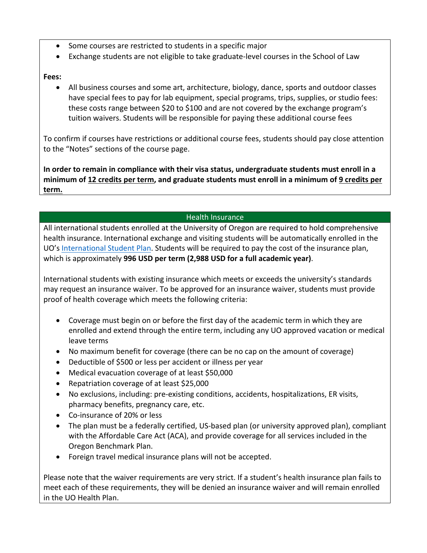- Some courses are restricted to students in a specific major
- Exchange students are not eligible to take graduate-level courses in the School of Law

#### **Fees:**

• All business courses and some art, architecture, biology, dance, sports and outdoor classes have special fees to pay for lab equipment, special programs, trips, supplies, or studio fees: these costs range between \$20 to \$100 and are not covered by the exchange program's tuition waivers. Students will be responsible for paying these additional course fees

To confirm if courses have restrictions or additional course fees, students should pay close attention to the "Notes" sections of the course page.

**In order to remain in compliance with their visa status, undergraduate students must enroll in a minimum of 12 credits per term, and graduate students must enroll in a minimum of 9 credits per term.**

#### Health Insurance

All international students enrolled at the University of Oregon are required to hold comprehensive health insurance. International exchange and visiting students will be automatically enrolled in the UO's [International Student Plan.](https://health.uoregon.edu/international-student-plan) Students will be required to pay the cost of the insurance plan, which is approximately **996 USD per term (2,988 USD for a full academic year)**.

International students with existing insurance which meets or exceeds the university's standards may request an insurance waiver. To be approved for an insurance waiver, students must provide proof of health coverage which meets the following criteria:

- Coverage must begin on or before the first day of the academic term in which they are enrolled and extend through the entire term, including any UO approved vacation or medical leave terms
- No maximum benefit for coverage (there can be no cap on the amount of coverage)
- Deductible of \$500 or less per accident or illness per year
- Medical evacuation coverage of at least \$50,000
- Repatriation coverage of at least \$25,000
- No exclusions, including: pre-existing conditions, accidents, hospitalizations, ER visits, pharmacy benefits, pregnancy care, etc.
- Co-insurance of 20% or less
- The plan must be a federally certified, US-based plan (or university approved plan), compliant with the Affordable Care Act (ACA), and provide coverage for all services included in the Oregon Benchmark Plan.
- Foreign travel medical insurance plans will not be accepted.

Please note that the waiver requirements are very strict. If a student's health insurance plan fails to meet each of these requirements, they will be denied an insurance waiver and will remain enrolled in the UO Health Plan.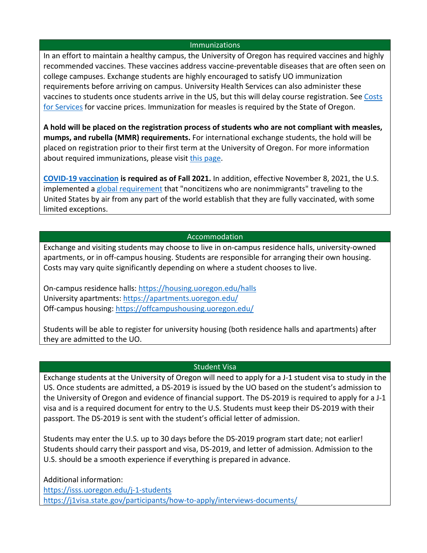#### **Immunizations**

In an effort to maintain a healthy campus, the University of Oregon has required vaccines and highly recommended vaccines. These vaccines address vaccine-preventable diseases that are often seen on college campuses. Exchange students are highly encouraged to satisfy UO immunization requirements before arriving on campus. University Health Services can also administer these vaccines to students once students arrive in the US, but this will delay course registration. See [Costs](https://health.uoregon.edu/costs-services)  [for Services](https://health.uoregon.edu/costs-services) for vaccine prices. Immunization for measles is required by the State of Oregon.

**A hold will be placed on the registration process of students who are not compliant with measles, mumps, and rubella (MMR) requirements.** For international exchange students, the hold will be placed on registration prior to their first term at the University of Oregon. For more information about required immunizations, please visit [this page.](https://health.uoregon.edu/immunization-requirements)

**[COVID-19 vaccination](https://coronavirus.uoregon.edu/vaccine) is required as of Fall 2021.** In addition, effective November 8, 2021, the U.S. implemented a [global requirement](https://www.cdc.gov/coronavirus/2019-ncov/travelers/proof-of-vaccination.html) that "noncitizens who are nonimmigrants" traveling to the United States by air from any part of the world establish that they are fully vaccinated, with some limited exceptions.

#### Accommodation

Exchange and visiting students may choose to live in on-campus residence halls, university-owned apartments, or in off-campus housing. Students are responsible for arranging their own housing. Costs may vary quite significantly depending on where a student chooses to live.

On-campus residence halls:<https://housing.uoregon.edu/halls> University apartments:<https://apartments.uoregon.edu/> Off-campus housing:<https://offcampushousing.uoregon.edu/>

Students will be able to register for university housing (both residence halls and apartments) after they are admitted to the UO.

#### Student Visa

Exchange students at the University of Oregon will need to apply for a J-1 student visa to study in the US. Once students are admitted, a DS-2019 is issued by the UO based on the student's admission to the University of Oregon and evidence of financial support. The DS-2019 is required to apply for a J-1 visa and is a required document for entry to the U.S. Students must keep their DS-2019 with their passport. The DS-2019 is sent with the student's official letter of admission.

Students may enter the U.S. up to 30 days before the DS-2019 program start date; not earlier! Students should carry their passport and visa, DS-2019, and letter of admission. Admission to the U.S. should be a smooth experience if everything is prepared in advance.

Additional information:

<https://isss.uoregon.edu/j-1-students> <https://j1visa.state.gov/participants/how-to-apply/interviews-documents/>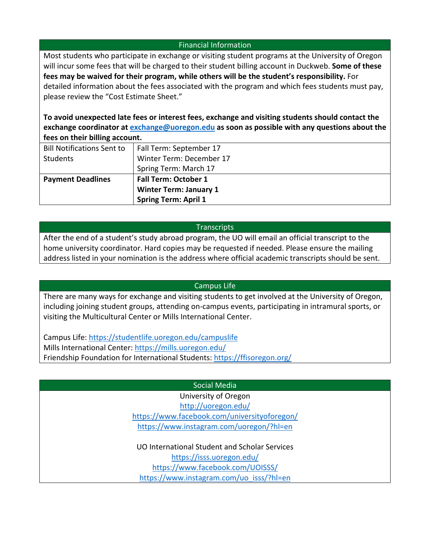#### Financial Information

Most students who participate in exchange or visiting student programs at the University of Oregon will incur some fees that will be charged to their student billing account in Duckweb. **Some of these fees may be waived for their program, while others will be the student's responsibility.** For detailed information about the fees associated with the program and which fees students must pay, please review the "Cost Estimate Sheet."

**To avoid unexpected late fees or interest fees, exchange and visiting students should contact the exchange coordinator at [exchange@uoregon.edu](mailto:exchange@uoregon.edu) as soon as possible with any questions about the fees on their billing account.**

| <b>Bill Notifications Sent to</b> | Fall Term: September 17       |
|-----------------------------------|-------------------------------|
| Students                          | Winter Term: December 17      |
|                                   |                               |
|                                   | Spring Term: March 17         |
| <b>Payment Deadlines</b>          | <b>Fall Term: October 1</b>   |
|                                   | <b>Winter Term: January 1</b> |
|                                   | <b>Spring Term: April 1</b>   |

#### **Transcripts**

After the end of a student's study abroad program, the UO will email an official transcript to the home university coordinator. Hard copies may be requested if needed. Please ensure the mailing address listed in your nomination is the address where official academic transcripts should be sent.

#### Campus Life

There are many ways for exchange and visiting students to get involved at the University of Oregon, including joining student groups, attending on-campus events, participating in intramural sports, or visiting the Multicultural Center or Mills International Center.

Campus Life:<https://studentlife.uoregon.edu/campuslife> Mills International Center:<https://mills.uoregon.edu/> Friendship Foundation for International Students:<https://ffisoregon.org/>

#### Social Media

University of Oregon <http://uoregon.edu/> <https://www.facebook.com/universityoforegon/> <https://www.instagram.com/uoregon/?hl=en>

UO International Student and Scholar Services <https://isss.uoregon.edu/> <https://www.facebook.com/UOISSS/> [https://www.instagram.com/uo\\_isss/?hl=en](https://www.instagram.com/uo_isss/?hl=en)